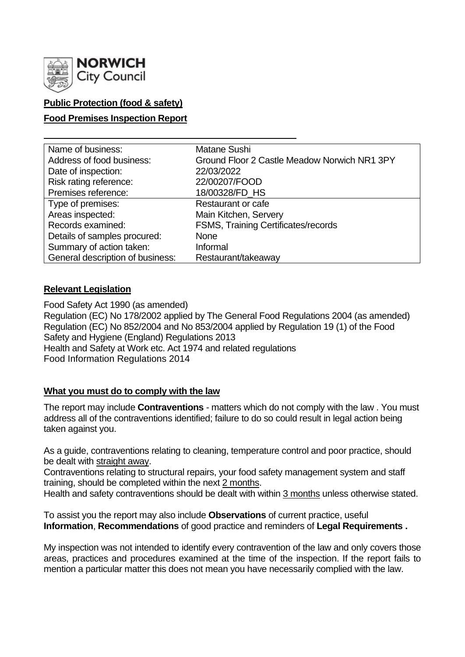

# **Public Protection (food & safety)**

### **Food Premises Inspection Report**

| Name of business:                | Matane Sushi                                 |
|----------------------------------|----------------------------------------------|
| Address of food business:        | Ground Floor 2 Castle Meadow Norwich NR1 3PY |
| Date of inspection:              | 22/03/2022                                   |
| Risk rating reference:           | 22/00207/FOOD                                |
| Premises reference:              | 18/00328/FD_HS                               |
| Type of premises:                | Restaurant or cafe                           |
| Areas inspected:                 | Main Kitchen, Servery                        |
| Records examined:                | FSMS, Training Certificates/records          |
| Details of samples procured:     | <b>None</b>                                  |
| Summary of action taken:         | Informal                                     |
| General description of business: | Restaurant/takeaway                          |

### **Relevant Legislation**

Food Safety Act 1990 (as amended) Regulation (EC) No 178/2002 applied by The General Food Regulations 2004 (as amended) Regulation (EC) No 852/2004 and No 853/2004 applied by Regulation 19 (1) of the Food Safety and Hygiene (England) Regulations 2013 Health and Safety at Work etc. Act 1974 and related regulations Food Information Regulations 2014

### **What you must do to comply with the law**

The report may include **Contraventions** - matters which do not comply with the law . You must address all of the contraventions identified; failure to do so could result in legal action being taken against you.

As a guide, contraventions relating to cleaning, temperature control and poor practice, should be dealt with straight away.

Contraventions relating to structural repairs, your food safety management system and staff training, should be completed within the next 2 months.

Health and safety contraventions should be dealt with within 3 months unless otherwise stated.

To assist you the report may also include **Observations** of current practice, useful **Information**, **Recommendations** of good practice and reminders of **Legal Requirements .**

My inspection was not intended to identify every contravention of the law and only covers those areas, practices and procedures examined at the time of the inspection. If the report fails to mention a particular matter this does not mean you have necessarily complied with the law.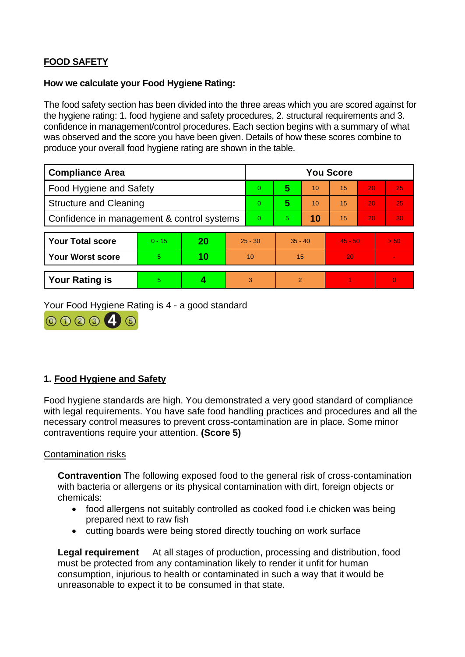# **FOOD SAFETY**

### **How we calculate your Food Hygiene Rating:**

The food safety section has been divided into the three areas which you are scored against for the hygiene rating: 1. food hygiene and safety procedures, 2. structural requirements and 3. confidence in management/control procedures. Each section begins with a summary of what was observed and the score you have been given. Details of how these scores combine to produce your overall food hygiene rating are shown in the table.

| <b>Compliance Area</b>                     |          |    |           | <b>You Score</b> |               |    |           |    |                |  |
|--------------------------------------------|----------|----|-----------|------------------|---------------|----|-----------|----|----------------|--|
| <b>Food Hygiene and Safety</b>             |          |    |           | $\overline{0}$   | 5             | 10 | 15        | 20 | 25             |  |
| <b>Structure and Cleaning</b>              |          |    |           | $\Omega$         | 5             | 10 | 15        | 20 | 25             |  |
| Confidence in management & control systems |          |    | $\Omega$  | 5.               | 10            | 15 | 20        | 30 |                |  |
|                                            |          |    |           |                  |               |    |           |    |                |  |
| <b>Your Total score</b>                    | $0 - 15$ | 20 | $25 - 30$ |                  | $35 - 40$     |    | $45 - 50$ |    | > 50           |  |
| <b>Your Worst score</b>                    | 5        | 10 | 10        |                  | 15            |    | 20        |    | $\sim$         |  |
|                                            |          |    |           |                  |               |    |           |    |                |  |
| <b>Your Rating is</b>                      | 5        |    |           | 3                | $\mathcal{P}$ |    |           |    | $\overline{0}$ |  |

Your Food Hygiene Rating is 4 - a good standard



# **1. Food Hygiene and Safety**

Food hygiene standards are high. You demonstrated a very good standard of compliance with legal requirements. You have safe food handling practices and procedures and all the necessary control measures to prevent cross-contamination are in place. Some minor contraventions require your attention. **(Score 5)**

### Contamination risks

**Contravention** The following exposed food to the general risk of cross-contamination with bacteria or allergens or its physical contamination with dirt, foreign objects or chemicals:

- food allergens not suitably controlled as cooked food i.e chicken was being prepared next to raw fish
- cutting boards were being stored directly touching on work surface

**Legal requirement** At all stages of production, processing and distribution, food must be protected from any contamination likely to render it unfit for human consumption, injurious to health or contaminated in such a way that it would be unreasonable to expect it to be consumed in that state.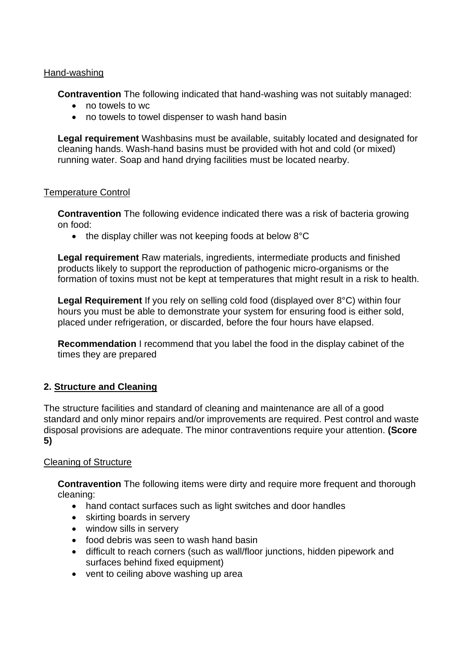### Hand-washing

**Contravention** The following indicated that hand-washing was not suitably managed:

- no towels to wc
- no towels to towel dispenser to wash hand basin

**Legal requirement** Washbasins must be available, suitably located and designated for cleaning hands. Wash-hand basins must be provided with hot and cold (or mixed) running water. Soap and hand drying facilities must be located nearby.

### Temperature Control

**Contravention** The following evidence indicated there was a risk of bacteria growing on food:

• the display chiller was not keeping foods at below 8°C

**Legal requirement** Raw materials, ingredients, intermediate products and finished products likely to support the reproduction of pathogenic micro-organisms or the formation of toxins must not be kept at temperatures that might result in a risk to health.

**Legal Requirement** If you rely on selling cold food (displayed over 8°C) within four hours you must be able to demonstrate your system for ensuring food is either sold, placed under refrigeration, or discarded, before the four hours have elapsed.

**Recommendation** I recommend that you label the food in the display cabinet of the times they are prepared

# **2. Structure and Cleaning**

The structure facilities and standard of cleaning and maintenance are all of a good standard and only minor repairs and/or improvements are required. Pest control and waste disposal provisions are adequate. The minor contraventions require your attention. **(Score 5)**

### Cleaning of Structure

**Contravention** The following items were dirty and require more frequent and thorough cleaning:

- hand contact surfaces such as light switches and door handles
- skirting boards in servery
- window sills in servery
- food debris was seen to wash hand basin
- difficult to reach corners (such as wall/floor junctions, hidden pipework and surfaces behind fixed equipment)
- vent to ceiling above washing up area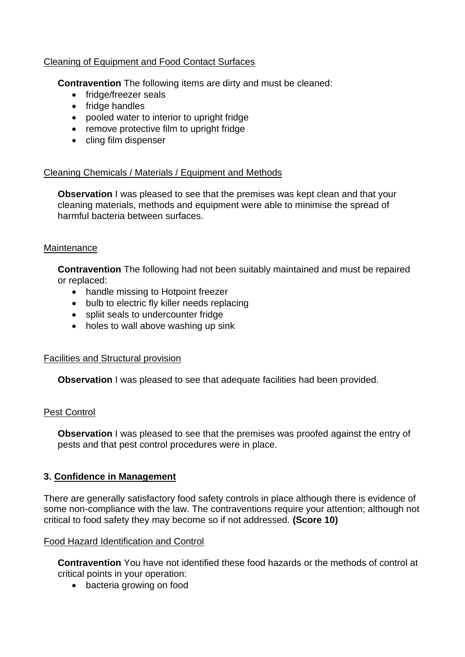### Cleaning of Equipment and Food Contact Surfaces

**Contravention** The following items are dirty and must be cleaned:

- fridge/freezer seals
- fridge handles
- pooled water to interior to upright fridge
- remove protective film to upright fridge
- cling film dispenser

### Cleaning Chemicals / Materials / Equipment and Methods

**Observation** I was pleased to see that the premises was kept clean and that your cleaning materials, methods and equipment were able to minimise the spread of harmful bacteria between surfaces.

### **Maintenance**

**Contravention** The following had not been suitably maintained and must be repaired or replaced:

- handle missing to Hotpoint freezer
- bulb to electric fly killer needs replacing
- spliit seals to undercounter fridge
- holes to wall above washing up sink

### Facilities and Structural provision

**Observation** I was pleased to see that adequate facilities had been provided.

### Pest Control

**Observation** I was pleased to see that the premises was proofed against the entry of pests and that pest control procedures were in place.

### **3. Confidence in Management**

There are generally satisfactory food safety controls in place although there is evidence of some non-compliance with the law. The contraventions require your attention; although not critical to food safety they may become so if not addressed. **(Score 10)**

### Food Hazard Identification and Control

**Contravention** You have not identified these food hazards or the methods of control at critical points in your operation:

• bacteria growing on food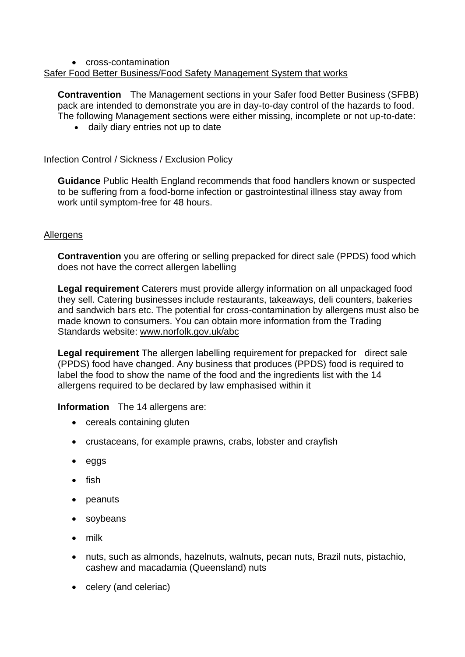### • cross-contamination Safer Food Better Business/Food Safety Management System that works

**Contravention** The Management sections in your Safer food Better Business (SFBB) pack are intended to demonstrate you are in day-to-day control of the hazards to food. The following Management sections were either missing, incomplete or not up-to-date:

• daily diary entries not up to date

### Infection Control / Sickness / Exclusion Policy

**Guidance** Public Health England recommends that food handlers known or suspected to be suffering from a food-borne infection or gastrointestinal illness stay away from work until symptom-free for 48 hours.

### Allergens

**Contravention** you are offering or selling prepacked for direct sale (PPDS) food which does not have the correct allergen labelling

**Legal requirement** Caterers must provide allergy information on all unpackaged food they sell. Catering businesses include restaurants, takeaways, deli counters, bakeries and sandwich bars etc. The potential for cross-contamination by allergens must also be made known to consumers. You can obtain more information from the Trading Standards website: [www.norfolk.gov.uk/abc](http://www.norfolk.gov.uk/abc)

**Legal requirement** The allergen labelling requirement for prepacked for direct sale (PPDS) food have changed. Any business that produces (PPDS) food is required to label the food to show the name of the food and the ingredients list with the 14 allergens required to be declared by law emphasised within it

**Information** The 14 allergens are:

- cereals containing gluten
- crustaceans, for example prawns, crabs, lobster and crayfish
- eggs
- fish
- peanuts
- soybeans
- milk
- nuts, such as almonds, hazelnuts, walnuts, pecan nuts, Brazil nuts, pistachio, cashew and macadamia (Queensland) nuts
- celery (and celeriac)